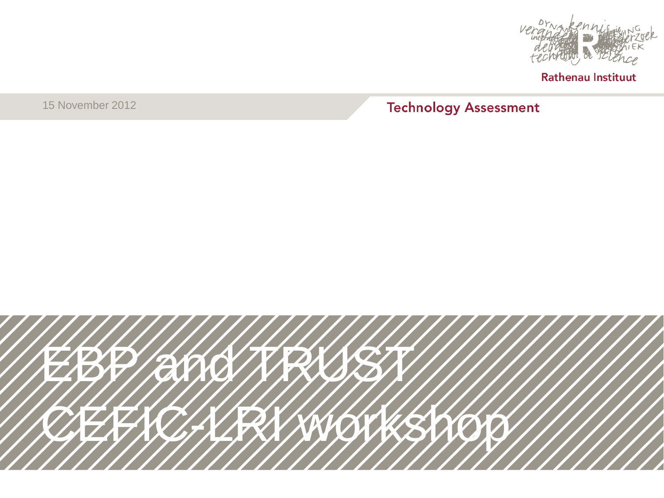

15 November 2012

#### **Technology Assessment**

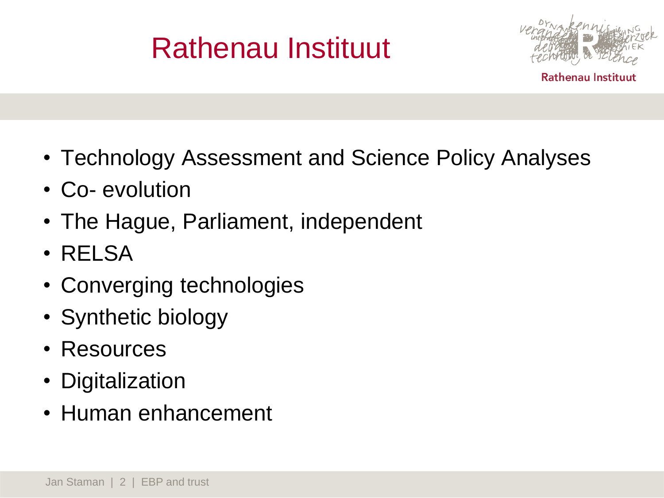

- Technology Assessment and Science Policy Analyses
- Co- evolution
- The Hague, Parliament, independent
- RELSA
- Converging technologies
- Synthetic biology
- Resources
- Digitalization
- Human enhancement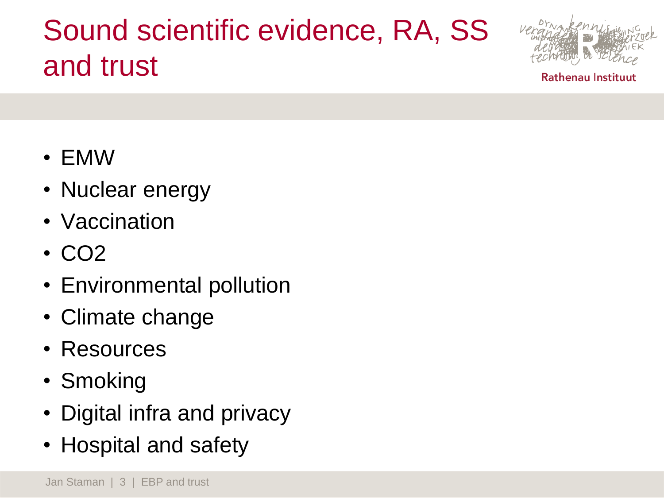## Sound scientific evidence, RA, SS and trust



- EMW
- Nuclear energy
- Vaccination
- CO2
- Environmental pollution
- Climate change
- Resources
- Smoking
- Digital infra and privacy
- Hospital and safety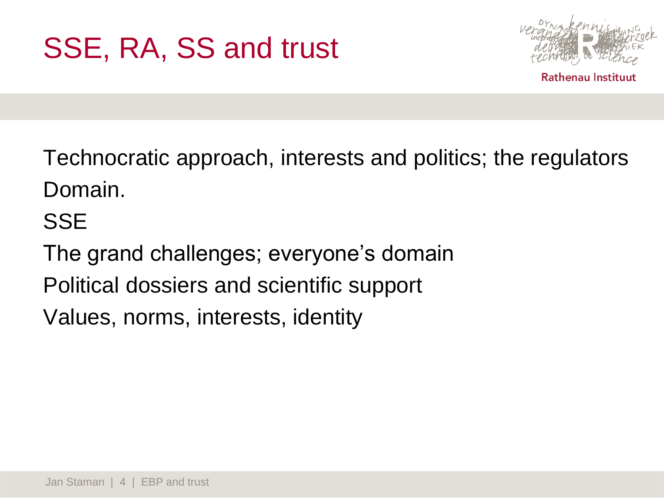

Technocratic approach, interests and politics; the regulators Domain.

#### **SSE**

The grand challenges; everyone's domain Political dossiers and scientific support Values, norms, interests, identity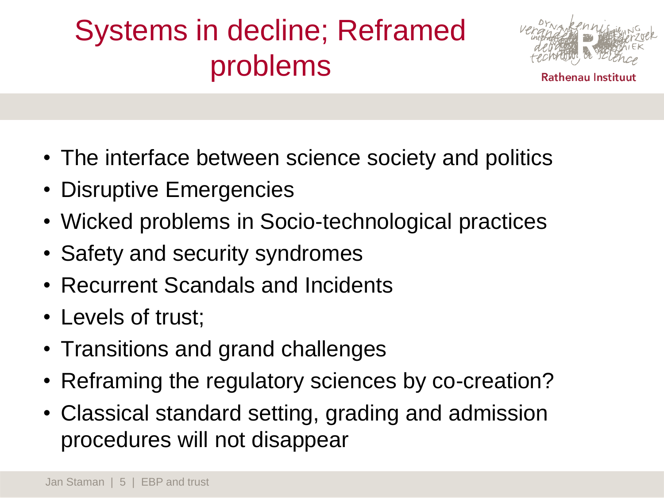# Systems in decline; Reframed problems



- The interface between science society and politics
- Disruptive Emergencies
- Wicked problems in Socio-technological practices
- Safety and security syndromes
- Recurrent Scandals and Incidents
- Levels of trust;
- Transitions and grand challenges
- Reframing the regulatory sciences by co-creation?
- Classical standard setting, grading and admission procedures will not disappear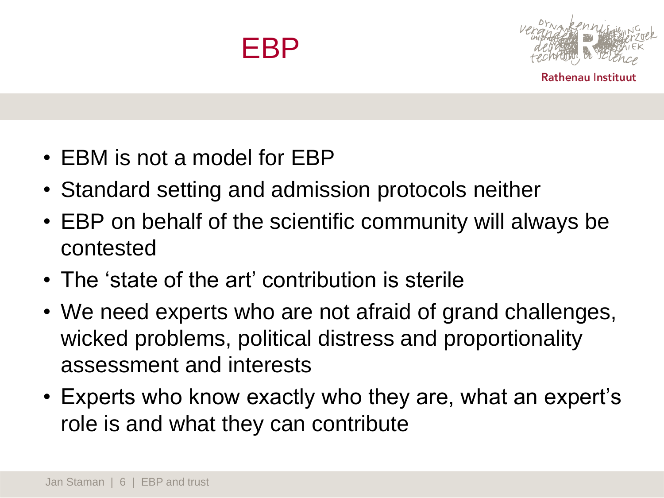



- EBM is not a model for EBP
- Standard setting and admission protocols neither
- EBP on behalf of the scientific community will always be contested
- The 'state of the art' contribution is sterile
- We need experts who are not afraid of grand challenges, wicked problems, political distress and proportionality assessment and interests
- Experts who know exactly who they are, what an expert's role is and what they can contribute